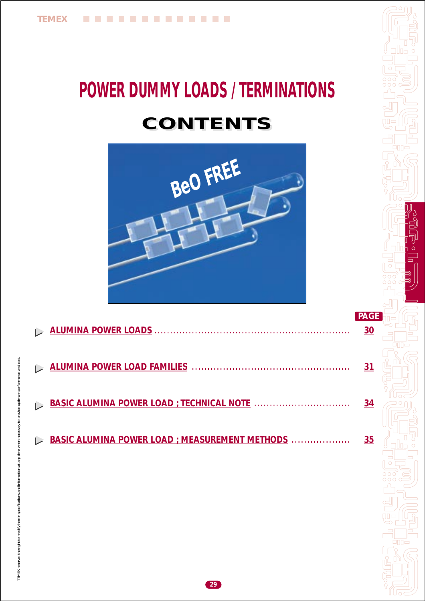# **POWER DUMMY LOADS / TERMINATIONS CONTENTS CONTENTS**



|                                                | 30        |
|------------------------------------------------|-----------|
|                                                | 31        |
|                                                | 34        |
| BASIC ALUMINA POWER LOAD ; MEASUREMENT METHODS | <u>35</u> |

**29**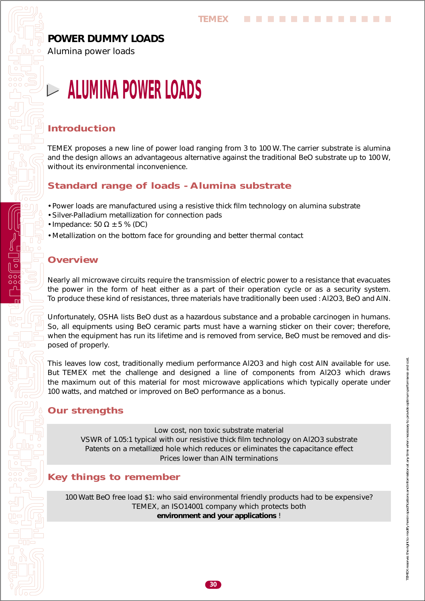# <span id="page-1-0"></span>*POWER DUMMY LOADS*

Alumina power loads

# **ALUMINA POWER LOADS**

### *Introduction*

TEMEX proposes a new line of power load ranging from 3 to 100 W. The carrier substrate is alumina and the design allows an advantageous alternative against the traditional BeO substrate up to 100 W, without its environmental inconvenience.

### *Standard range of loads - Alumina substrate*

- Power loads are manufactured using a resistive thick film technology on alumina substrate
- Silver-Palladium metallization for connection pads
- Impedance: 50  $\Omega$  ± 5 % (DC)
- Metallization on the bottom face for grounding and better thermal contact

# *Overview*

Nearly all microwave circuits require the transmission of electric power to a resistance that evacuates the power in the form of heat either as a part of their operation cycle or as a security system. To produce these kind of resistances, three materials have traditionally been used : Al2O3, BeO and AlN.

Unfortunately, OSHA lists BeO dust as a hazardous substance and a probable carcinogen in humans. So, all equipments using BeO ceramic parts must have a warning sticker on their cover; therefore, when the equipment has run its lifetime and is removed from service, BeO must be removed and disposed of properly.

This leaves low cost, traditionally medium performance Al2O3 and high cost AlN available for use. But TEMEX met the challenge and designed a line of components from Al2O3 which draws the maximum out of this material for most microwave applications which typically operate under 100 watts, and matched or improved on BeO performance as a bonus.

# *Our strengths*

Low cost, non toxic substrate material VSWR of 1.05:1 typical with our resistive thick film technology on Al2O3 substrate Patents on a metallized hole which reduces or eliminates the capacitance effect Prices lower than AlN terminations

# *Key things to remember*

100 Watt BeO free load \$1: who said environmental friendly products had to be expensive? TEMEX, an ISO14001 company which protects both **environment and your applications** !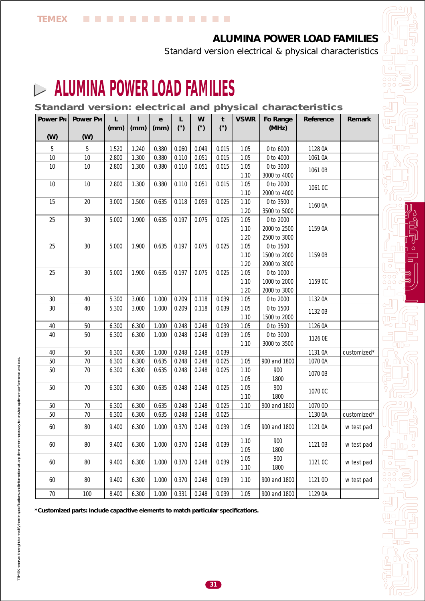**College** 

# *ALUMINA POWER LOAD FAMILIES*

Standard version electrical & physical characteristics

# <span id="page-2-0"></span>**ALUMINA POWER LOAD FAMILIES**   $\overline{\phantom{a}}$

*Standard version: electrical and physical characteristics*

. . . . . . . . . .

| Power PN | Power PM | L<br>(mm) | (mm)  | e<br>(mm) | L<br>$($ ") | W<br>(") | t<br>(") | <b>VSWR</b>  | Fo Range<br>(MHz) | Reference | Remark      |
|----------|----------|-----------|-------|-----------|-------------|----------|----------|--------------|-------------------|-----------|-------------|
| (W)      | (W)      |           |       |           |             |          |          |              |                   |           |             |
| 5        | 5        | 1.520     | 1.240 | 0.380     | 0.060       | 0.049    | 0.015    | 1.05         | 0 to 6000         | 1128 0A   |             |
| 10       | 10       | 2.800     | 1.300 | 0.380     | 0.110       | 0.051    | 0.015    | 1.05         | 0 to 4000         | 1061 0A   |             |
| 10       | 10       | 2.800     | 1.300 | 0.380     | 0.110       | 0.051    | 0.015    | 1.05         | 0 to 3000         |           |             |
|          |          |           |       |           |             |          |          | 1.10         | 3000 to 4000      | 1061 0B   |             |
| 10       | $10$     | 2.800     | 1.300 | 0.380     | 0.110       | 0.051    | 0.015    | 1.05         | 0 to 2000         | 1061 OC   |             |
|          |          |           |       |           |             |          |          | 1.10         | 2000 to 4000      |           |             |
| 15       | 20       | 3.000     | 1.500 | 0.635     | 0.118       | 0.059    | 0.025    | 1.10         | 0 to 3500         | 1160 0A   |             |
|          |          |           |       |           |             |          |          | 1.20         | 3500 to 5000      |           |             |
| 25       | $30\,$   | 5.000     | 1.900 | 0.635     | 0.197       | 0.075    | 0.025    | 1.05         | 0 to 2000         |           |             |
|          |          |           |       |           |             |          |          | 1.10         | 2000 to 2500      | 1159 0A   |             |
|          |          |           |       |           |             |          |          | 1.20         | 2500 to 3000      |           |             |
| 25       | $30\,$   | 5.000     | 1.900 | 0.635     | 0.197       | 0.075    | 0.025    | 1.05         | 0 to 1500         |           |             |
|          |          |           |       |           |             |          |          | 1.10         | 1500 to 2000      | 1159 0B   |             |
|          |          |           |       |           |             |          |          | 1.20         | 2000 to 3000      |           |             |
| 25       | 30       | 5.000     | 1.900 | 0.635     | 0.197       | 0.075    | 0.025    | 1.05         | 0 to 1000         |           |             |
|          |          |           |       |           |             |          |          | 1.10         | 1000 to 2000      | 1159 OC   |             |
|          |          |           |       |           |             |          |          | 1.20         | 2000 to 3000      |           |             |
| 30       | 40       | 5.300     | 3.000 | 1.000     | 0.209       | 0.118    | 0.039    | 1.05         | $0$ to $2000\,$   | 1132 0A   |             |
| 30       | 40       | 5.300     | 3.000 | 1.000     | 0.209       | 0.118    | 0.039    | 1.05         | 0 to 1500         | 1132 0B   |             |
|          |          |           |       |           |             |          |          | 1.10         | 1500 to 2000      |           |             |
| 40       | $50\,$   | 6.300     | 6.300 | 1.000     | 0.248       | 0.248    | 0.039    | 1.05         | 0 to 3500         | 1126 0A   |             |
| 40       | $50\,$   | 6.300     | 6.300 | 1.000     | 0.248       | 0.248    | 0.039    | 1.05         | 0 to 3000         | 1126 0E   |             |
|          |          |           |       |           |             |          |          | 1.10         | 3000 to 3500      |           |             |
| 40       | $50\,$   | 6.300     | 6.300 | 1.000     | 0.248       | 0.248    | 0.039    |              |                   | 1131 0A   | customized* |
| 50       | $70\,$   | 6.300     | 6.300 | 0.635     | 0.248       | 0.248    | 0.025    | 1.05         | 900 and 1800      | 1070 0A   |             |
| 50       | 70       | 6.300     | 6.300 | 0.635     | 0.248       | 0.248    | 0.025    | 1.10         | 900               | 1070 0B   |             |
|          |          |           |       |           |             |          |          | 1.05         | 1800              |           |             |
| 50       | $70\,$   | 6.300     | 6.300 | 0.635     | 0.248       | 0.248    | 0.025    | 1.05         | 900               | 1070 OC   |             |
|          |          |           |       |           |             |          |          | 1.10         | 1800              |           |             |
| 50       | $70\,$   | 6.300     | 6.300 | 0.635     | 0.248       | 0.248    | 0.025    | 1.10         | 900 and 1800      | 1070 0D   |             |
| 50       | 70       | 6.300     | 6.300 | 0.635     | 0.248       | 0.248    | 0.025    |              |                   | 1130 0A   | customized* |
| 60       | $80\,$   | 9.400     | 6.300 | 1.000     | 0.370       | 0.248    | 0.039    | 1.05         | 900 and 1800      | 1121 0A   | w test pad  |
| 60       | $80\,$   | 9.400     | 6.300 | 1.000     | 0.370       | 0.248    | 0.039    | 1.10<br>1.05 | 900<br>1800       | 1121 0B   | w test pad  |
|          | $80\,$   | 9.400     | 6.300 | 1.000     | 0.370       |          | 0.039    | 1.05         | 900               |           |             |
| 60       |          |           |       |           |             | 0.248    |          | 1.10         | 1800              | 1121 OC   | w test pad  |
|          |          |           |       |           |             |          |          |              |                   |           |             |
| 60       | $80\,$   | 9.400     | 6.300 | 1.000     | 0.370       | 0.248    | 0.039    | 1.10         | 900 and 1800      | 1121 0D   | w test pad  |
| $70\,$   | 100      | 8.400     | 6.300 | 1.000     | 0.331       | 0.248    | 0.039    | 1.05         | 900 and 1800      | 1129 0A   |             |

**\*Customized parts: Include capacitive elements to match particular specifications.**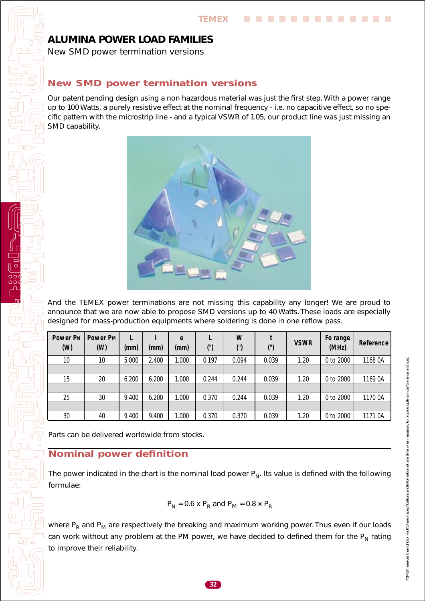## *ALUMINA POWER LOAD FAMILIES*

New SMD power termination versions

#### *New SMD power termination versions*

Our patent pending design using a non hazardous material was just the first step. With a power range up to 100 Watts, a purely resistive effect at the nominal frequency - i.e. no capacitive effect, so no specific pattern with the microstrip line - and a typical VSWR of 1.05, our product line was just missing an SMD capability.



And the TEMEX power terminations are not missing this capability any longer! We are proud to announce that we are now able to propose SMD versions up to 40 Watts. These loads are especially designed for mass-production equipments where soldering is done in one reflow pass.

| <b>Power PN</b><br>(W) | Power P <sub>M</sub><br>(W) | (mm)  | (mm)  | e<br>(mm) | (")   | W<br>(") | (")   | <b>VSWR</b> | Fo range<br>(MHz) | <b>Reference</b> |
|------------------------|-----------------------------|-------|-------|-----------|-------|----------|-------|-------------|-------------------|------------------|
| 10                     | 10                          | 5.000 | 2.400 | 1.000     | 0.197 | 0.094    | 0.039 | 1.20        | 0 to 2000         | 1168 0A          |
|                        |                             |       |       |           |       |          |       |             |                   |                  |
| 15                     | 20                          | 6.200 | 6.200 | 1.000     | 0.244 | 0.244    | 0.039 | 1.20        | 0 to 2000         | 1169 0A          |
|                        |                             |       |       |           |       |          |       |             |                   |                  |
| 25                     | 30                          | 9.400 | 6.200 | 1.000     | 0.370 | 0.244    | 0.039 | 1.20        | 0 to 2000         | 1170 0A          |
|                        |                             |       |       |           |       |          |       |             |                   |                  |
| 30                     | 40                          | 9.400 | 9.400 | 1.000     | 0.370 | 0.370    | 0.039 | 1.20        | 0 to 2000         | 1171 0A          |

Parts can be delivered worldwide from stocks.

#### *Nominal power definition*

The power indicated in the chart is the nominal load power  $P_N$ . Its value is defined with the following formulae:

$$
P_{\rm N} = 0.6 \times P_{\rm R}
$$
 and  $P_{\rm M} = 0.8 \times P_{\rm R}$ 

where  $P_R$  and  $P_M$  are respectively the breaking and maximum working power. Thus even if our loads can work without any problem at the PM power, we have decided to defined them for the  $P_N$  rating to improve their reliability.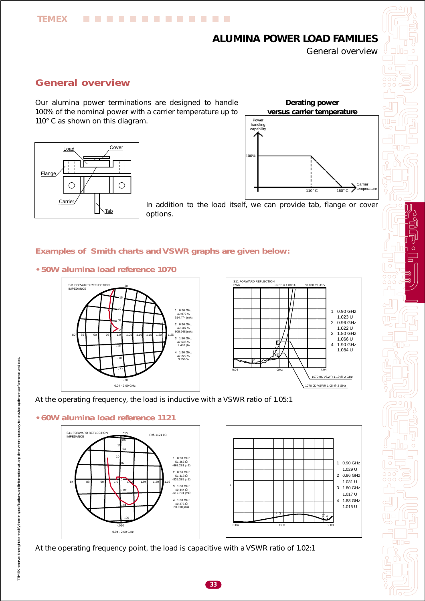# *ALUMINA POWER LOAD FAMILIES*

General overview

# *General overview*

**TEMEX**

Our alumina power terminations are designed to handle 100% of the nominal power with a carrier temperature up to 110° C as shown on this diagram.

............





In addition to the load itself, we can provide tab, flange or cover options.

#### *Examples of Smith charts and VSWR graphs are given below:*

*• 50W alumina load reference 1070*







#### *• 60W alumina load reference 1121*



At the operating frequency point, the load is capacitive with a VSWR ratio of 1.02:1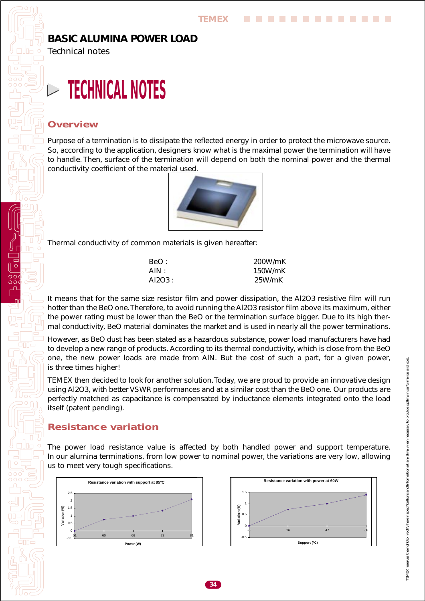### <span id="page-5-0"></span>*BASIC ALUMINA POWER LOAD*

Technical notes

# **TECHNICAL NOTES**

#### *Overview*

Purpose of a termination is to dissipate the reflected energy in order to protect the microwave source. So, according to the application, designers know what is the maximal power the termination will have to handle. Then, surface of the termination will depend on both the nominal power and the thermal conductivity coefficient of the material used.



Thermal conductivity of common materials is given hereafter:

| BeO:   | 200W/mK |
|--------|---------|
| AIN:   | 150W/mK |
| AI2O3: | 25W/mK  |

It means that for the same size resistor film and power dissipation, the Al2O3 resistive film will run hotter than the BeO one. Therefore, to avoid running the Al2O3 resistor film above its maximum, either the power rating must be lower than the BeO or the termination surface bigger. Due to its high thermal conductivity, BeO material dominates the market and is used in nearly all the power terminations.

However, as BeO dust has been stated as a hazardous substance, power load manufacturers have had to develop a new range of products. According to its thermal conductivity, which is close from the BeO one, the new power loads are made from AlN. But the cost of such a part, for a given power, is three times higher!

TEMEX then decided to look for another solution. Today, we are proud to provide an innovative design using Al2O3, with better VSWR performances and at a similar cost than the BeO one. Our products are perfectly matched as capacitance is compensated by inductance elements integrated onto the load itself (patent pending).

#### *Resistance variation*

The power load resistance value is affected by both handled power and support temperature. In our alumina terminations, from low power to nominal power, the variations are very low, allowing us to meet very tough specifications.



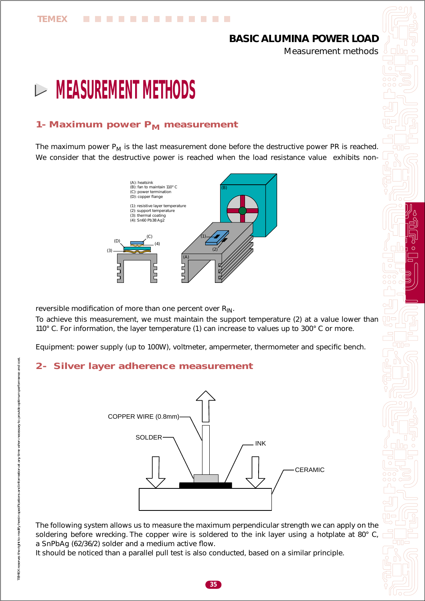# *BASIC ALUMINA POWER LOAD*

Measurement methods

# <span id="page-6-0"></span>**MEASUREMENT METHODS**

## **1- Maximum power P<sub>M</sub> measurement**

. . . . . . . . .

The maximum power  $P_M$  is the last measurement done before the destructive power PR is reached. We consider that the destructive power is reached when the load resistance value exhibits non-



reversible modification of more than one percent over  $R_{IN}$ .

To achieve this measurement, we must maintain the support temperature (2) at a value lower than 110° C. For information, the layer temperature (1) can increase to values up to 300° C or more.

Equipment: power supply (up to 100W), voltmeter, ampermeter, thermometer and specific bench.

#### *2- Silver layer adherence measurement*



The following system allows us to measure the maximum perpendicular strength we can apply on the soldering before wrecking. The copper wire is soldered to the ink layer using a hotplate at 80° C, a SnPbAg (62/36/2) solder and a medium active flow.

It should be noticed than a parallel pull test is also conducted, based on a similar principle.